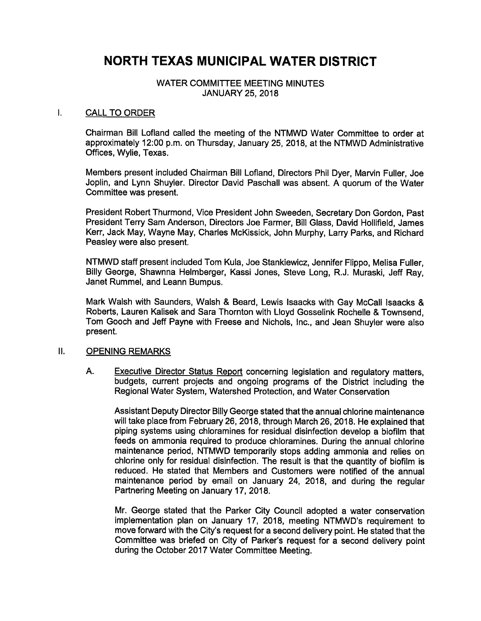# NORTH TEXAS MUNICIPAL WATER DISTRICT

# WATER COMMITTEE MEETING MINUTES JANUARY 25, 2018

#### I. CALL TO ORDER

Chairman Bill Lofland called the meeting of the NTMWD Water Committee to order at approximately 12:00 p.m. on Thursday, January 25, 2018, at the NTMWD Administrative Offices, Wylie, Texas.

Members present included Chairman Bill Lofland, Directors Phil Dyer, Marvin Fuller, Joe Joplin, and Lynn Shuyler. Director David Paschall was absent. A quorum of the Water Committee was present.

President Robert Thurmond, Vice President John Sweeden, Secretary Don Gordon, Past President Terry Sam Anderson, Directors Joe Farmer, Bill Glass, David Hollifield, James Kerr, Jack May, Wayne May, Charles McKissick, John Murphy, Larry Parks, and Richard Peasley were also present.

NTMWD staff present included Tom Kula, Joe Stankiewicz, Jennifer Flippo, Melisa Fuller, Billy George, Shawnna Helmberger, Kassi Jones, Steve Long, R. J. Muraski, Jeff Ray, Janet Rummel, and Leann Bumpus.

Mark Walsh with Saunders, Walsh & Beard, Lewis Isaacks with Gay McCall Isaacks & Roberts, Lauren Kalisek and Sara Thornton with Lloyd Gosselink Rochelle & Townsend, Tom Gooch and Jeff Payne with Freese and Nichols, Inc., and Jean Shuyler were also present.

# Il. OPENING REMARKS

A. Executive Director Status Report concerning legislation and regulatory matters, budgets, current projects and ongoing programs of the District including the Regional Water System, Watershed Protection, and Water Conservation

Assistant Deputy Director Billy George stated that the annual chlorine maintenance will take place from February 26, 2018, through March 26, 2018. He explained that piping systems using chloramines for residual disinfection develop a biofilm that feeds on ammonia required to produce chloramines. During the annual chlorine maintenance period, NTMWD temporarily stops adding ammonia and relies on chlorine only for residual disinfection. The result is that the quantity of biofiim is reduced. He stated that Members and Customers were notified of the annual maintenance period by email on January 24, 2018, and during the regular Partnering Meeting on January 17, 2018.

Mr. George stated that the Parker City Council adopted a water conservation implementation plan on January 17, 2018, meeting NTMWD's requirement to move forward with the City's request for a second delivery point. He stated that the Committee was briefed on City of Parker's request for a second delivery point during the October 2017 Water Committee Meeting.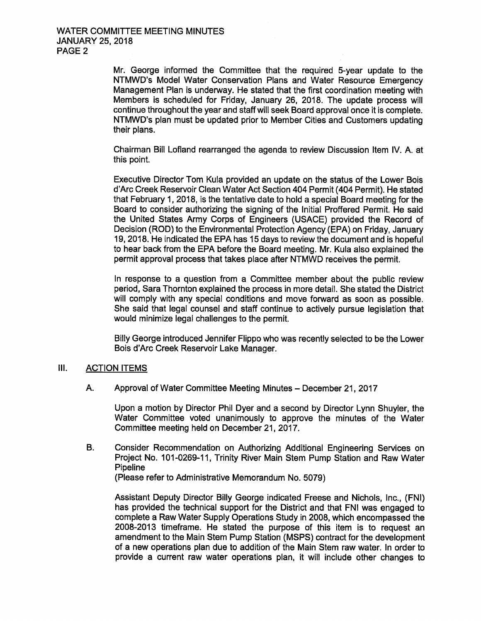Mr. George informed the Committee that the required 5-year update to the NTMWD's Model Water Conservation Plans and Water Resource Emergency Management Plan is underway. He stated that the first coordination meeting with Members is scheduled for Friday, January 26, 2018. The update process will continue throughout the year and staff will seek Board approval once it is complete. NTMWD's plan must be updated prior to Member Cities and Customers updating their plans.

Chairman Bill Lofland rearranged the agenda to review Discussion Item IV. A. at this point.

Executive Director Tom Kula provided an update on the status of the Lower Bois d'Arc Creek Reservoir Clean Water Act Section 404 Permit( 404 Permit). He stated that February 1, 2018, is the tentative date to hold a special Board meeting for the Board to consider authorizing the signing of the Initial Proffered Permit. He said the United States Army Corps of Engineers ( USACE) provided the Record of Decision (ROD) to the Environmental Protection Agency (EPA) on Friday, January 19, 2018. He indicated the EPA has 15 days to review the document and is hopeful to hear back from the EPA before the Board meeting. Mr. Kula also explained the permit approval process that takes place after NTMWD receives the permit.

In response to a question from a Committee member about the public review period, Sara Thornton explained the process in more detail. She stated the District will comply with any special conditions and move forward as soon as possible. She said that legal counsel and staff continue to actively pursue legislation that would minimize legal challenges to the permit.

Billy George introduced Jennifer Flippo who was recently selected to be the Lower Bois d' Arc Creek Reservoir Lake Manager.

### III. ACTION ITEMS

A. Approval of Water Committee Meeting Minutes— December 21, 2017

Upon a motion by Director Phil Dyer and a second by Director Lynn Shuyler, the Water Committee voted unanimously to approve the minutes of the Water Committee meeting held on December 21, 2017.

B. Consider Recommendation on Authorizing Additional Engineering Services on Project No. 101-0269-11, Trinity River Main Stem Pump Station and Raw Water **Pipeline** 

Please refer to Administrative Memorandum No. 5079)

Assistant Deputy Director Billy George indicated Freese and Nichols, Inc., ( FNI) has provided the technical support for the District and that FNI was engaged to complete a Raw Water Supply Operations Study in 2008, which encompassed the 2008-2013 timeframe. He stated the purpose of this item is to request an amendment to the Main Stem Pump Station ( MSPS) contract for the development of a new operations plan due to addition of the Main Stem raw water. In order to provide a current raw water operations plan, it will include other changes to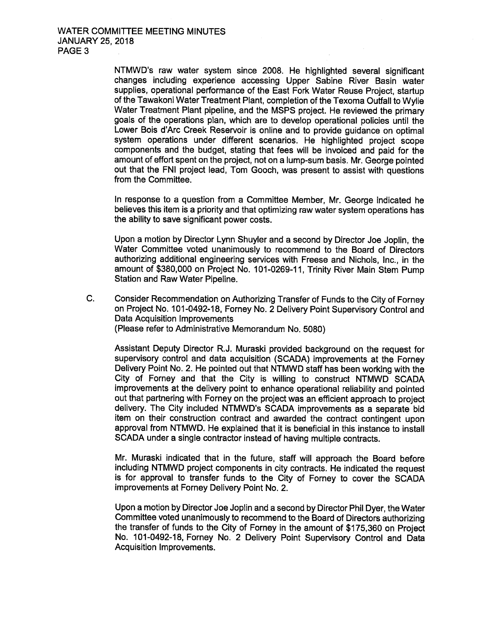NTMWD's raw water system since 2008. He highlighted several significant changes including experience accessing Upper Sabine River Basin water supplies, operational performance of the East Fork Water Reuse Project, startup of the Tawakoni Water Treatment Plant, completion of the Texoma Outfall to Wylie Water Treatment Plant pipeline, and the MSPS project. He reviewed the primary goals of the operations plan, which are to develop operational policies until the Lower Bois d'Arc Creek Reservoir is online and to provide guidance on optimal system operations under different scenarios. He highlighted project scope components and the budget, stating that fees will be invoiced and paid for the amount of effort spent on the project, not on a lump-sum basis. Mr. George pointed out that the FNI project lead, Tom Gooch, was present to assist with questions from the Committee.

In response to a question from a Committee Member, Mr. George indicated he believes this item is a priority and that optimizing raw water system operations has the ability to save significant power costs.

Upon a motion by Director Lynn Shuyler and a second by Director Joe Joplin, the Water Committee voted unanimously to recommend to the Board of Directors authorizing additional engineering services with Freese and Nichols, Inc., in the amount of \$380,000 on Project No. 101-0269-11, Trinity River Main Stem Pump Station and Raw Water Pipeline.

C. Consider Recommendation on Authorizing Transfer of Funds to the City of Forney on Project No. 101-0492-18, Forney No. 2 Delivery Point Supervisory Control and Data Acquisition Improvements Please refer to Administrative Memorandum No. 5080)

Assistant Deputy Director R.J. Muraski provided background on the request for supervisory control and data acquisition ( SCADA) improvements at the Forney Delivery Point No. 2. He pointed out that NTMWD staff has been working with the City of Forney and that the City is willing to construct NTMWD SCADA improvements at the delivery point to enhance operational reliability and pointed out that partnering with Forney on the project was an efficient approach to project delivery. The City included NTMWD's SCADA improvements as a separate bid item on their construction contract and awarded the contract contingent upon approval from NTMWD. He explained that it is beneficial in this instance to install SCADA under a single contractor instead of having multiple contracts.

Mr. Muraski indicated that in the future, staff will approach the Board before including NTMWD project components in city contracts. He indicated the request is for approval to transfer funds to the City of Forney to cover the SCADA improvements at Forney Delivery Point No. 2.

Upon a motion by Director Joe Joplin and a second by Director Phil Dyer, the Water Committee voted unanimously to recommend to the Board of Directors authorizing the transfer of funds to the City of Forney in the amount of \$175, 360 on Project No. 101-0492-18, Forney No. 2 Delivery Point Supervisory Control and Data Acquisition Improvements.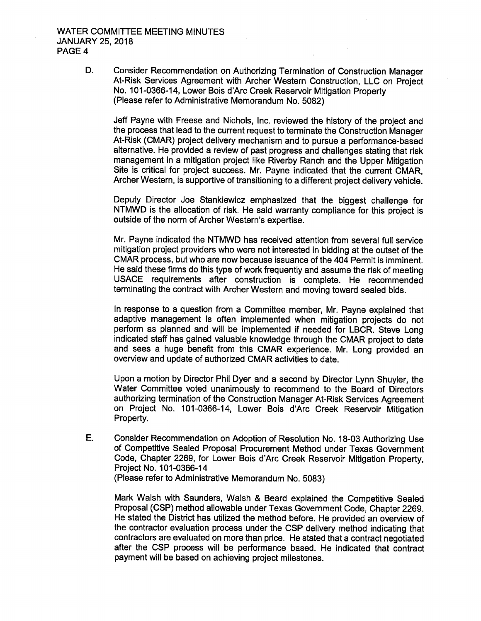D. Consider Recommendation on Authorizing Termination of Construction Manager At-Risk Services Agreement with Archer Western Construction, LLC on Project No. 101-0366-14, Lower Bois d'Arc Creek Reservoir Mitigation Property Please refer to Administrative Memorandum No. 5082)

Jeff Payne with Freese and Nichols, Inc. reviewed the history of the project and the process that lead to the current request to terminate the Construction Manager At-Risk ( CMAR) project delivery mechanism and to pursue a performance-based alternative. He provided a review of past progress and challenges stating that risk management in a mitigation project like Riverby Ranch and the Upper Mitigation Site is critical for project success. Mr. Payne indicated that the current CMAR, Archer Western, is supportive of transitioning to a different project delivery vehicle.

Deputy Director Joe Stankiewicz emphasized that the biggest challenge for NTMWD is the allocation of risk. He said warranty compliance for this project is outside of the norm of Archer Western's expertise.

Mr. Payne indicated the NTMWD has received attention from several full service mitigation project providers who were not interested in bidding at the outset of the CMAR process, but who are now because issuance of the 404 Permit is imminent. He said these firms do this type of work frequently and assume the risk of meeting USACE requirements after construction is complete. He recommended terminating the contract with Archer Western and moving toward sealed bids.

In response to a question from a Committee member, Mr. Payne explained that adaptive management is often implemented when mitigation projects do not perform as planned and will be implemented if needed for LBCR. Steve Long indicated staff has gained valuable knowledge through the CMAR project to date and sees a huge benefit from this CMAR experience. Mr. Long provided an overview and update of authorized CMAR activities to date.

Upon a motion by Director Phil Dyer and a second by Director Lynn Shuyler, the Water Committee voted unanimously to recommend to the Board of Directors authorizing termination of the Construction Manager At-Risk Services Agreement on Project No. 101- 0366- 14, Lower Bois d' Arc Creek Reservoir Mitigation Property.

E. Consider Recommendation on Adoption of Resolution No. 18-03 Authorizing Use of Competitive Sealed Proposal Procurement Method under Texas Government Code, Chapter 2269, for Lower Bois d'Arc Creek Reservoir Mitigation Property, Project No. 101-0366-14 Please refer to Administrative Memorandum No. 5083)

Mark Walsh with Saunders, Walsh & Beard explained the Competitive Sealed Proposal ( CSP) method allowable under Texas Government Code, Chapter 2269. He stated the District has utilized the method before. He provided an overview of the contractor evaluation process under the CSP delivery method indicating that contractors are evaluated on more than price. He stated that a contract negotiated after the CSP process will be performance based. He indicated that contract payment will be based on achieving project milestones.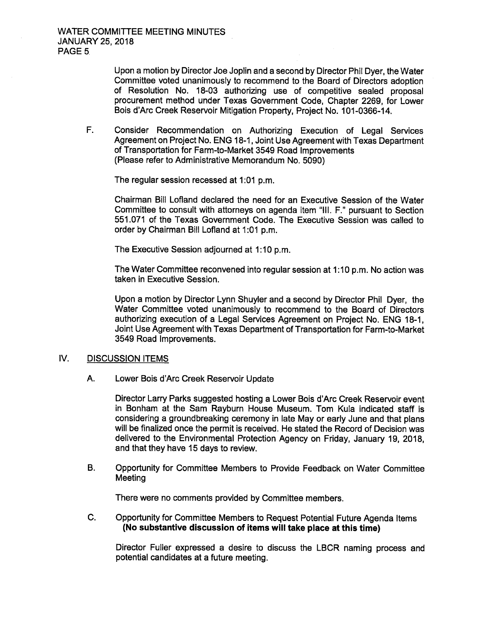Upon a motion by Director Joe Joplin and a second by Director Phil Dyer, the Water Committee voted unanimously to recommend to the Board of Directors adoption of Resolution No. 18-03 authorizing use of competitive sealed proposal procurement method under Texas Government Code, Chapter 2269, for Lower Bois d'Arc Creek Reservoir Mitigation Property, Project No. 101-0366-14.

F. Consider Recommendation on Authorizing Execution of Legal Services Agreement on Project No. ENG 18-1, Joint Use Agreement with Texas Department of Transportation for Farm-to- Market 3549 Road Improvements Please refer to Administrative Memorandum No. 5090)

The regular session recessed at 1:01 p.m.

Chairman Bill Lofland declared the need for an Executive Session of the Water Committee to consult with attorneys on agenda item " III. F." pursuant to Section 551. 071 of the Texas Government Code. The Executive Session was called to order by Chairman Bill Lofland at 1:01 p.m.

The Executive Session adjourned at 1: 10 p.m.

The Water Committee reconvened into regular session at 1:10 p.m. No action was taken in Executive Session.

Upon a motion by Director Lynn Shuyler and a second by Director Phil Dyer, the Water Committee voted unanimously to recommend to the Board of Directors authorizing execution of a Legal Services Agreement on Project No. ENG 18-1, Joint Use Agreement with Texas Department of Transportation for Farm-to- Market 3549 Road Improvements.

### IV. DISCUSSION ITEMS

A. Lower Bois d'Arc Creek Reservoir Update

Director Larry Parks suggested hosting a Lower Bois d'Arc Creek Reservoir event in Bonham at the Sam Rayburn House Museum. Tom Kula indicated staff is considering a groundbreaking ceremony in late May or early June and that plans will be finalized once the permit is received. He stated the Record of Decision was delivered to the Environmental Protection Agency on Friday, January 19, 2018, and that they have 15 days to review.

B. Opportunity for Committee Members to Provide Feedback on Water Committee **Meeting** 

There were no comments provided by Committee members.

C. Opportunity for Committee Members to Request Potential Future Agenda Items No substantive discussion of items will take place at this time)

Director Fuller expressed a desire to discuss the LBCR naming process and potential candidates at a future meeting.